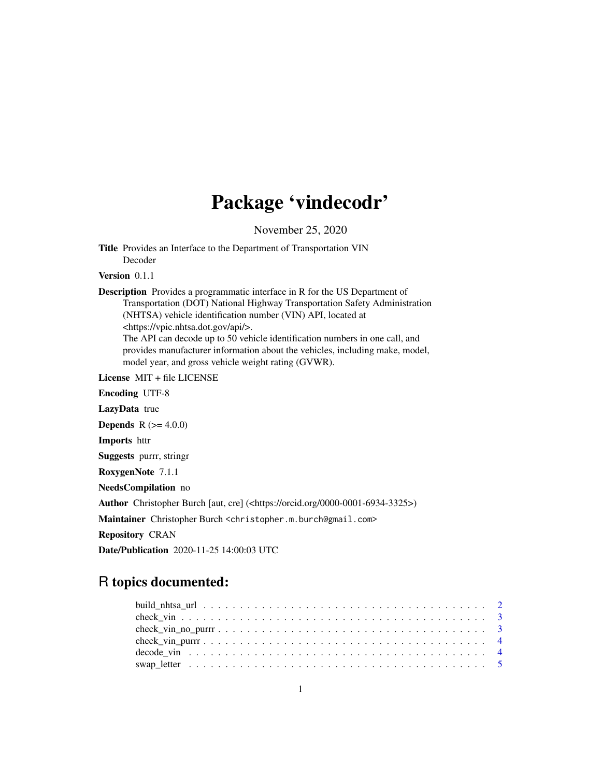## Package 'vindecodr'

November 25, 2020

Title Provides an Interface to the Department of Transportation VIN Decoder

Version 0.1.1

Description Provides a programmatic interface in R for the US Department of Transportation (DOT) National Highway Transportation Safety Administration (NHTSA) vehicle identification number (VIN) API, located at <https://vpic.nhtsa.dot.gov/api/>.

The API can decode up to 50 vehicle identification numbers in one call, and provides manufacturer information about the vehicles, including make, model, model year, and gross vehicle weight rating (GVWR).

License MIT + file LICENSE

Encoding UTF-8 LazyData true **Depends** R  $(>= 4.0.0)$ Imports httr Suggests purrr, stringr RoxygenNote 7.1.1 NeedsCompilation no Author Christopher Burch [aut, cre] (<https://orcid.org/0000-0001-6934-3325>) Maintainer Christopher Burch <christopher.m.burch@gmail.com>

Repository CRAN

Date/Publication 2020-11-25 14:00:03 UTC

### R topics documented: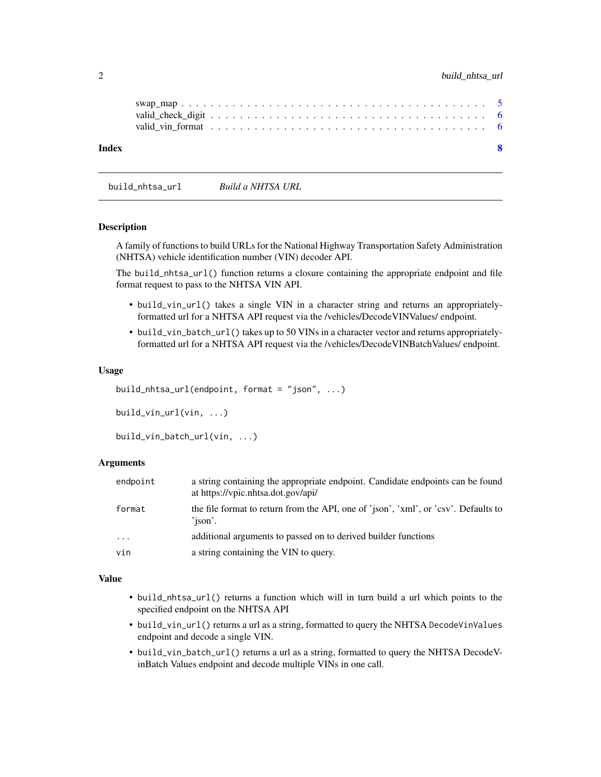<span id="page-1-0"></span>

|  | $\mathbf{R}$ |  |  |
|--|--------------|--|--|
|  |              |  |  |
|  |              |  |  |
|  |              |  |  |

build\_nhtsa\_url *Build a NHTSA URL*

#### Description

A family of functions to build URLs for the National Highway Transportation Safety Administration (NHTSA) vehicle identification number (VIN) decoder API.

The build\_nhtsa\_url() function returns a closure containing the appropriate endpoint and file format request to pass to the NHTSA VIN API.

- build\_vin\_url() takes a single VIN in a character string and returns an appropriatelyformatted url for a NHTSA API request via the /vehicles/DecodeVINValues/ endpoint.
- build\_vin\_batch\_url() takes up to 50 VINs in a character vector and returns appropriatelyformatted url for a NHTSA API request via the /vehicles/DecodeVINBatchValues/ endpoint.

#### Usage

```
build_nhtsa_url(endpoint, format = "json", ...)
```

```
build_vin_url(vin, ...)
```

```
build_vin_batch_url(vin, ...)
```
#### Arguments

| endpoint | a string containing the appropriate endpoint. Candidate endpoints can be found<br>at https://vpic.nhtsa.dot.gov/api/ |
|----------|----------------------------------------------------------------------------------------------------------------------|
| format   | the file format to return from the API, one of 'json', 'xml', or 'csv'. Defaults to<br>'ison'.                       |
| $\cdot$  | additional arguments to passed on to derived builder functions                                                       |
| vin      | a string containing the VIN to query.                                                                                |

#### Value

- build\_nhtsa\_url() returns a function which will in turn build a url which points to the specified endpoint on the NHTSA API
- build\_vin\_url() returns a url as a string, formatted to query the NHTSA DecodeVinValues endpoint and decode a single VIN.
- build\_vin\_batch\_url() returns a url as a string, formatted to query the NHTSA DecodeVinBatch Values endpoint and decode multiple VINs in one call.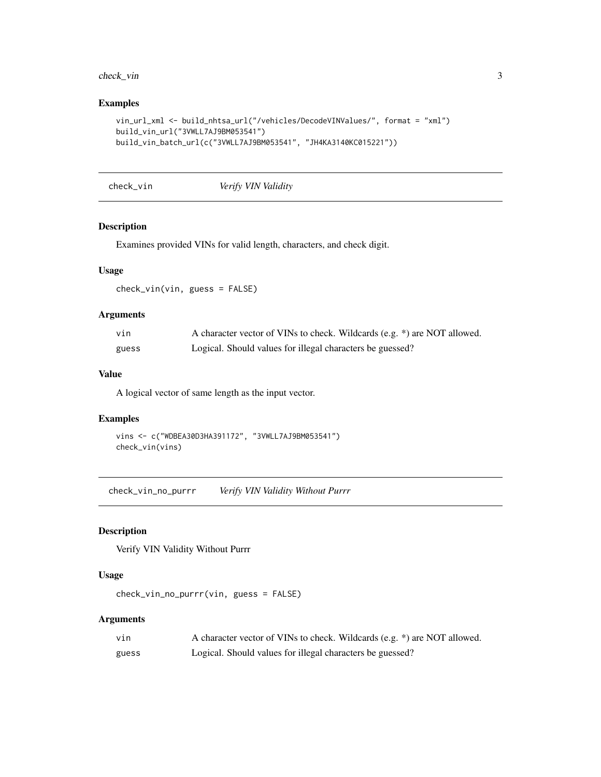#### <span id="page-2-0"></span>check\_vin 3

#### Examples

```
vin_url_xml <- build_nhtsa_url("/vehicles/DecodeVINValues/", format = "xml")
build_vin_url("3VWLL7AJ9BM053541")
build_vin_batch_url(c("3VWLL7AJ9BM053541", "JH4KA3140KC015221"))
```
check\_vin *Verify VIN Validity*

#### Description

Examines provided VINs for valid length, characters, and check digit.

#### Usage

check\_vin(vin, guess = FALSE)

#### Arguments

| vın   | A character vector of VINs to check. Wildcards (e.g. *) are NOT allowed. |
|-------|--------------------------------------------------------------------------|
| guess | Logical. Should values for illegal characters be guessed?                |

#### Value

A logical vector of same length as the input vector.

#### Examples

```
vins <- c("WDBEA30D3HA391172", "3VWLL7AJ9BM053541")
check_vin(vins)
```
check\_vin\_no\_purrr *Verify VIN Validity Without Purrr*

#### Description

Verify VIN Validity Without Purrr

#### Usage

```
check_vin_no_purrr(vin, guess = FALSE)
```
#### Arguments

| vın   | A character vector of VINs to check. Wildcards (e.g. *) are NOT allowed. |
|-------|--------------------------------------------------------------------------|
| guess | Logical. Should values for illegal characters be guessed?                |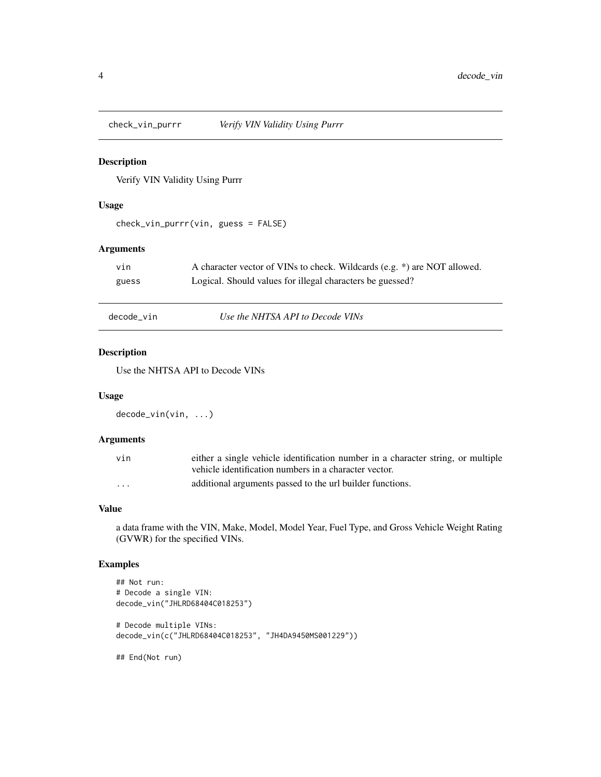<span id="page-3-0"></span>

#### Description

Verify VIN Validity Using Purrr

#### Usage

```
check_vin_purrr(vin, guess = FALSE)
```
#### Arguments

| vın   | A character vector of VINs to check. Wildcards (e.g. *) are NOT allowed. |
|-------|--------------------------------------------------------------------------|
| guess | Logical. Should values for illegal characters be guessed?                |

decode\_vin *Use the NHTSA API to Decode VINs*

#### Description

Use the NHTSA API to Decode VINs

#### Usage

```
decode_vin(vin, ...)
```
#### Arguments

| vin      | either a single vehicle identification number in a character string, or multiple |
|----------|----------------------------------------------------------------------------------|
|          | vehicle identification numbers in a character vector.                            |
| $\cdots$ | additional arguments passed to the url builder functions.                        |

#### Value

a data frame with the VIN, Make, Model, Model Year, Fuel Type, and Gross Vehicle Weight Rating (GVWR) for the specified VINs.

#### Examples

```
## Not run:
# Decode a single VIN:
decode_vin("JHLRD68404C018253")
# Decode multiple VINs:
decode_vin(c("JHLRD68404C018253", "JH4DA9450MS001229"))
## End(Not run)
```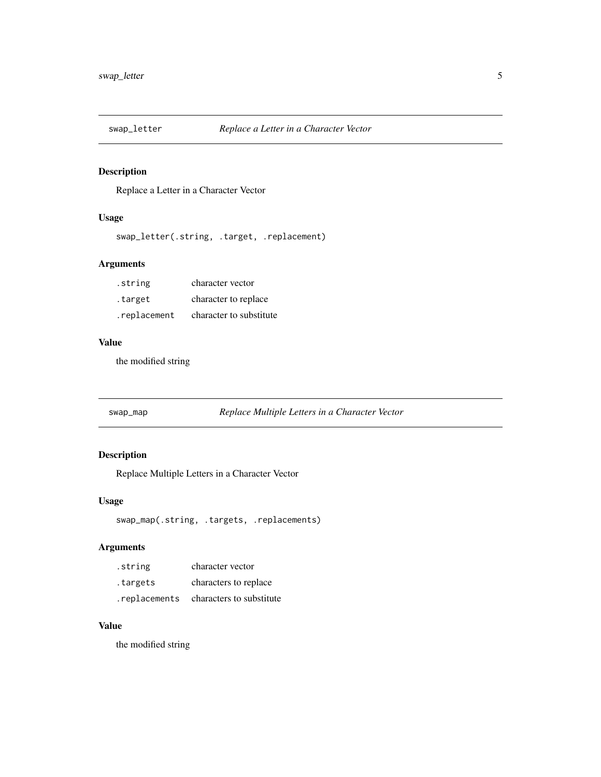<span id="page-4-0"></span>

#### Description

Replace a Letter in a Character Vector

#### Usage

```
swap_letter(.string, .target, .replacement)
```
#### Arguments

| .string      | character vector        |
|--------------|-------------------------|
| .target      | character to replace    |
| .replacement | character to substitute |

#### Value

the modified string

swap\_map *Replace Multiple Letters in a Character Vector*

#### Description

Replace Multiple Letters in a Character Vector

#### Usage

swap\_map(.string, .targets, .replacements)

#### Arguments

| .string       | character vector         |
|---------------|--------------------------|
| targets.      | characters to replace    |
| .replacements | characters to substitute |

#### Value

the modified string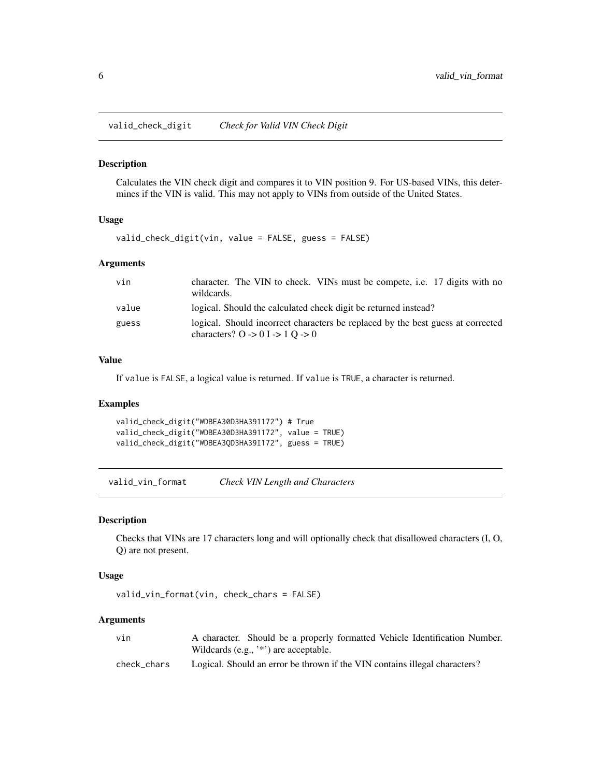<span id="page-5-0"></span>valid\_check\_digit *Check for Valid VIN Check Digit*

#### Description

Calculates the VIN check digit and compares it to VIN position 9. For US-based VINs, this determines if the VIN is valid. This may not apply to VINs from outside of the United States.

#### Usage

```
valid_check_digit(vin, value = FALSE, guess = FALSE)
```
#### Arguments

| vin   | character. The VIN to check. VINs must be compete, i.e. 17 digits with no<br>wildcards.                                                              |
|-------|------------------------------------------------------------------------------------------------------------------------------------------------------|
| value | logical. Should the calculated check digit be returned instead?                                                                                      |
| guess | logical. Should incorrect characters be replaced by the best guess at corrected<br>characters? $0 \rightarrow 0$ I $\rightarrow 1$ O $\rightarrow 0$ |

#### Value

If value is FALSE, a logical value is returned. If value is TRUE, a character is returned.

#### Examples

```
valid_check_digit("WDBEA30D3HA391172") # True
valid_check_digit("WDBEA30D3HA391172", value = TRUE)
valid_check_digit("WDBEA3QD3HA39I172", guess = TRUE)
```
valid\_vin\_format *Check VIN Length and Characters*

#### Description

Checks that VINs are 17 characters long and will optionally check that disallowed characters (I, O, Q) are not present.

#### Usage

```
valid_vin_format(vin, check_chars = FALSE)
```
#### Arguments

| vin         | A character. Should be a properly formatted Vehicle Identification Number. |
|-------------|----------------------------------------------------------------------------|
|             | Wildcards (e.g., $\cdot^*$ ) are acceptable.                               |
| check chars | Logical. Should an error be thrown if the VIN contains illegal characters? |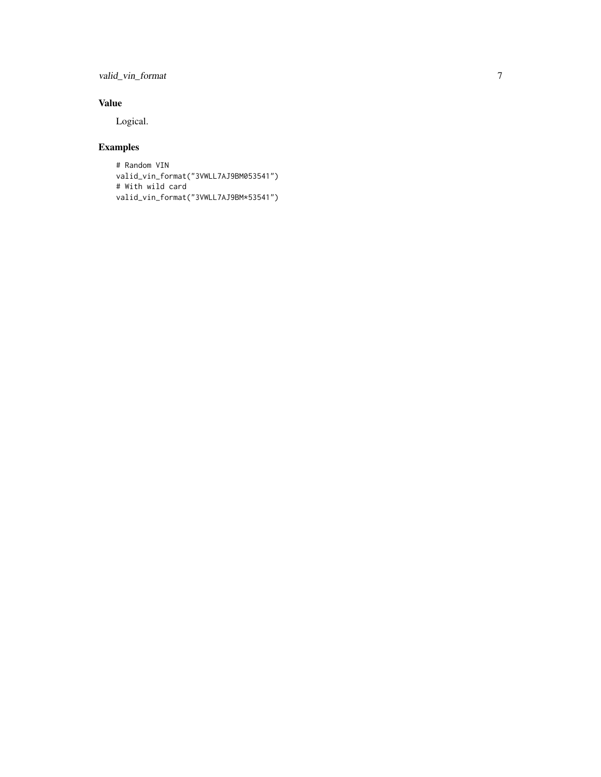valid\_vin\_format 7

#### Value

Logical.

#### Examples

# Random VIN valid\_vin\_format("3VWLL7AJ9BM053541") # With wild card valid\_vin\_format("3VWLL7AJ9BM\*53541")